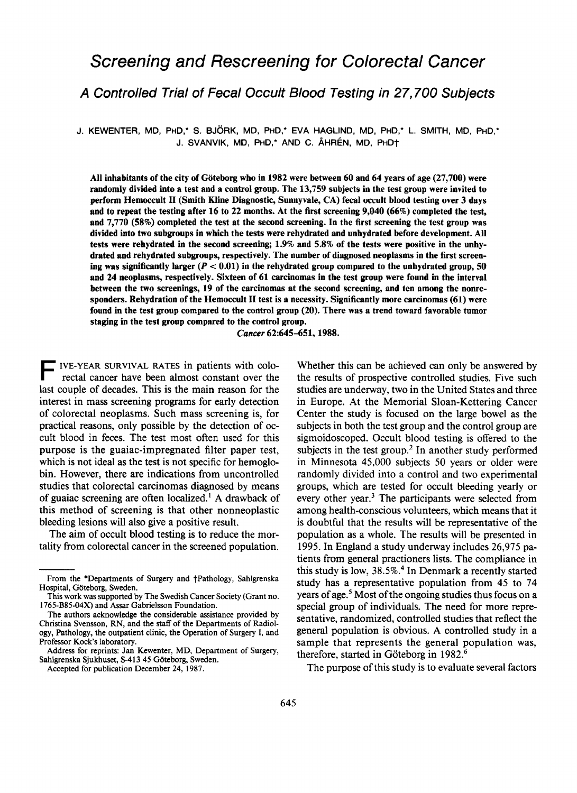# *Screening and Rescreening for Colorectal Cancer*

*A Controlled Trial of Fecal Occult Blood Testing in 27,700 Subjects* 

**J. KEWENTER, MD, PHD;** s. **BJORK, MD, PHD,\* EVA HAGLIND, MD, PHD," L. SMITH, MD, PHD,' J. SVANVIK, MD, PHD,\* AND C. ÅHRÉN, MD, PHD†** 

All inhabitants of the city of Goteborg who in **1982** were between **60** and **64** years of age **(27,700)** were randomly divided into a test and a control group. The **13,759** subjects in the test group were invited to perform Hemoccult I1 (Smith Kline Diagnostic, Sunnyvale, CA) fecal occult blood testing over 3 days and to repeat the testing after **16** to **22** months. At the first screening **9,040 (66%)** completed the test, and **7,770 (58%)** completed the test at the second screening. In the first screening the test group was divided into two subgroups in which the tests were rehydrated and unhydrated before development. All tests were rehydrated in the second screening; **1.9%** and **5.8%** of the tests were positive in the unhydrated and rehydrated subgroups, respectively. The number of diagnosed neoplasms in the first screening was significantly larger **(P** < **0.01)** in the rehydrated group compared to the unhydrated group, **50**  and **24** neoplasms, respectively. Sixteen of **61** carcinomas in the test group were found in the interval between the two screenings, **19** of the carcinomas at the second screening, and ten among the nonresponders. Rehydration of the Hemoccult I1 test is a necessity. Significantly more carcinomas **(61)** were found in the test group compared to the control group (20). There was a trend toward favorable tumor staging in the test group compared to the control group.

*Cancer* **62:645-651,1988.** 

IVE-YEAR SURVIVAL RATES in patients with colo-rectal cancer have been almost constant over the last couple of decades. This is the main reason for the interest in mass screening programs for early detection of colorectal neoplasms. Such mass screening is, for practical reasons, only possible by the detection of occult blood in feces. The test most often used for this purpose is the guaiac-impregnated filter paper test, which is not ideal as the test is not specific for hemoglobin. However, there are indications from uncontrolled studies that colorectal carcinomas diagnosed by means of guaiac screening are often localized.' **A** drawback of this method of screening is that other nonneoplastic bleeding lesions will also give a positive result.

The aim of occult blood testing is to reduce the mortality from colorectal cancer in the screened population.

Whether this can be achieved can only be answered by the results of prospective controlled studies. Five such studies are underway, two in the United States and three in Europe. At the Memorial Sloan-Kettering Cancer Center the study is focused on the large bowel as the subjects in both the test group and the control group are sigmoidoscoped. Occult blood testing is offered to the subjects in the test group.<sup>2</sup> In another study performed in Minnesota 45,000 subjects 50 years or older were randomly divided into a control and two experimental groups, which are tested for occult bleeding yearly or every other year.<sup>3</sup> The participants were selected from among health-conscious volunteers, which means that it is doubtful that the results will be representative of the population as a whole. The results will be presented in 1995. In England a study underway includes 26,975 patients from general practioners lists. The compliance in this study is low,  $38.5\%$ .<sup>4</sup> In Denmark a recently started study has a representative population from 45 to 74 years of age.<sup>5</sup> Most of the ongoing studies thus focus on a special group of individuals. The need for more representative, randomized, controlled studies that reflect the general population is obvious. **A** controlled study in a sample that represents the general population was, therefore, started in Göteborg in 1982.<sup>6</sup>

The purpose of this study is to evaluate several factors

From the \*Departments of Surgery and †Pathology, Sahlgrenska Hospital, Göteborg, Sweden.

This work was supported by The Swedish Cancer Society (Grant no. **1765-Bg5-04X)** and Assar Gabrielsson Foundation.

The authors acknowledge the considerable assistance provided by Christina Svensson, RN, and the **staff** of the Departments of Radiology, Pathology, the outpatient clinic, the Operation of Surgery I, and Professor Kock's laboratory.

Address for reprints: Jan Kewenter, MD, Department of Surgery, Sahlgrenska Sjukhuset, S-413 45 Göteborg, Sweden.

Accepted for publication December **24, 1987.**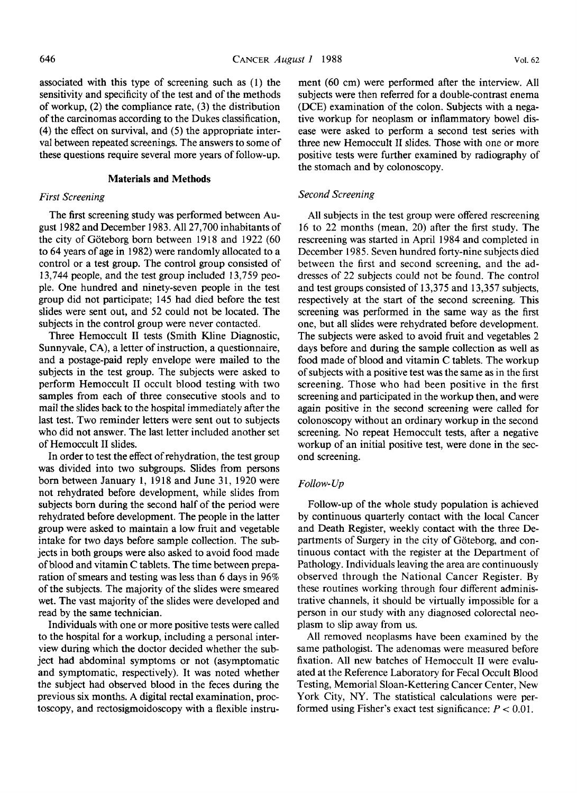associated with this type of screening such as **(I)** the sensitivity and specificity of the test and of the methods of workup, (2) the compliance rate, (3) the distribution of the carcinomas according to the Dukes classification, (4) the effect on survival, and *(5)* the appropriate interval between repeated screenings. The answers to some of these questions require several more years of follow-up.

## **Materials and Methods**

# *First Screening*

The first screening study was performed between August 1982 and December 1983. All 27,700 inhabitants of the city of Goteborg born between 1918 and 1922 (60 to 64 years of age in 1982) were randomly allocated to a control or a test group. The control group consisted of 13,744 people, and the test group included 13,759 people. One hundred and ninety-seven people in the test group did not participate; 145 had died before the test slides were sent out, and 52 could not be located. The subjects in the control group were never contacted.

Three Hemoccult I1 tests (Smith Nine Diagnostic, Sunnyvale, CA), a letter of instruction, a questionnaire, and a postage-paid reply envelope were mailed to the subjects in the test group. The subjects were asked to perform Hemoccult I1 occult blood testing with two samples from each of three consecutive stools and to mail the slides back to the hospital immediately after the last test. Two reminder letters were sent out to subjects who did not answer. The last letter included another set of Hemoccult I1 slides.

In order to test the effect of rehydration, the test group was divided into two subgroups. Slides from persons born between January 1, 1918 and June 31, 1920 were not rehydrated before development, while slides from subjects born during the second half of the period were rehydrated before development. The people in the latter group were asked to maintain a low fruit and vegetable intake for two days before sample collection. The subjects in both groups were also asked to avoid food made of blood and vitamin C tablets. The time between preparation of smears and testing was less than 6 days in 96% of the subjects. The majority of the slides were smeared wet. The vast majority of the slides were developed and read by the same technician.

Individuals with one or more positive tests were called to the hospital for a workup, including a personal interview during which the doctor decided whether the subject had abdominal symptoms or not (asymptomatic and symptomatic, respectively). It was noted whether the subject had observed blood in the feces during the previous six months. A digital rectal examination, proctoscopy, and rectosigmoidoscopy with a flexible instrument (60 cm) were performed after the interview. All subjects were then referred for a double-contrast enema (DCE) examination of the colon. Subjects with a negative workup for neoplasm or inflammatory bowel disease were asked to perform a second test series with three new Hemoccult **I1** slides. Those with one or more positive tests were further examined by radiography of the stomach and by colonoscopy.

#### *Second Screening*

All subjects in the test group were offered rescreening 16 to 22 months (mean, 20) after the first study. The rescreening was started in April 1984 and completed in December 1985. Seven hundred forty-nine subjects died between the first and second screening, and the addresses of 22 subjects could not be found. The control and test groups consisted of 13,375 and 13,357 subjects, respectively at the start of the second screening. This screening was performed in the same way as the first one, but all slides were rehydrated before development. The subjects were asked to avoid fruit and vegetables 2 days before and during the sample collection as well as food made of blood and vitamin C tablets. The workup of subjects with a positive test was the same as in the first screening. Those who had been positive in the first screening and participated in the workup then, and were again positive in the second screening were called for colonoscopy without an ordinary workup in the second screening. No repeat Hemoccult tests, after a negative workup of an initial positive test, were done in the second screening.

### *Follow- Up*

Follow-up of the whole study population is achieved by continuous quarterly contact with the local Cancer and Death Register, weekly contact with the three Departments of Surgery in the city of Göteborg, and continuous contact with the register at the Department of Pathology. Individuals leaving the area are continuously observed through the National Cancer Register. By these routines working through four different administrative channels, it should be virtually impossible for a person in our study with any diagnosed colorectal neoplasm to slip away from us.

All removed neoplasms have been examined by the same pathologist. The adenomas were measured before fixation. All new batches of Hemoccult I1 were evaluated at the Reference Laboratory for Fecal Occult Blood Testing, Memorial Sloan-Kettering Cancer Center, New York City, NY. The statistical calculations were performed using Fisher's exact test significance:  $P < 0.01$ .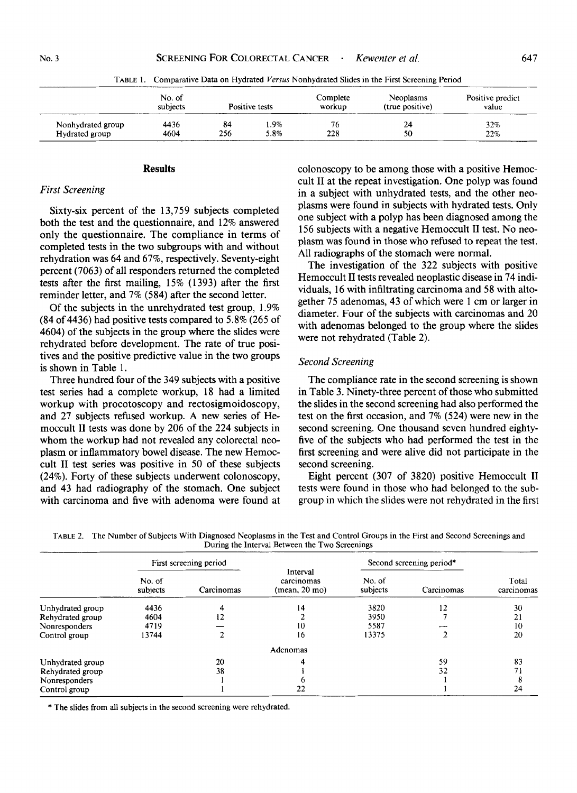|                   | No. of<br>subjects |     | Positive tests | Complete<br>workup | <b>Neoplasms</b><br>(true positive) | Positive predict<br>value |
|-------------------|--------------------|-----|----------------|--------------------|-------------------------------------|---------------------------|
| Nonhydrated group | 4436               | 84  | ⊥9%            | 76                 | 24                                  | 32%                       |
| Hydrated group    | 4604               | 256 | 5.8%           | 228                | 50                                  | 22%                       |

TABLE 1.Comparative Data on Hydrated *Versus* Nonhydrated Slides in the First Screening Period

#### **Results**

#### *First Screening*

Sixty-six percent of the 13,759 subjects completed both the test and the questionnaire, and 12% answered only the questionnaire. The compliance in terms of completed tests in the two subgroups with and without rehydration was 64 and 67%, respectively. Seventy-eight percent (7063) of all responders returned the completed tests after the first mailing, 15% (1393) after the first reminder letter, and 7% (584) after the second letter.

Of the subjects in the unrehydrated test group, 1.9% (84 of 4436) had positive tests compared to 5.8% (265 of 4604) of the subjects in the group where the slides were rehydrated before development. The rate of true positives and the positive predictive value in the two groups is shown in Table 1.

Three hundred four of the 349 subjects with a positive test series had a complete workup, 18 had a limited workup with procotoscopy and rectosigmoidoscopy, and 27 subjects refused workup. A new series of Hemoccult **I1** tests was done by 206 of the 224 subjects in whom the workup had not revealed any colorectal neoplasm or inflammatory bowel disease. The new Hemoccult **I1** test series was positive in 50 of these subjects (24%). Forty of these subjects underwent colonoscopy, and 43 had radiography of the stomach. One subject with carcinoma and five with adenoma were found at colonoscopy to be among those with a positive Hemoccult **I1** at the repeat investigation. One polyp was found in a subject with unhydrated tests, and the other neoplasms were found in subjects with hydrated tests. Only one subject with a polyp has been diagnosed among the 156 subjects with a negative Hemoccult **I1** test. No neoplasm was found in those who refused to repeat the test. All radiographs of the stomach were normal.

The investigation of the 322 subjects with positive Hemoccult **I1** tests revealed neoplastic disease in 74 individuals, 16 with infiltrating carcinoma and 58 with altogether 75 adenomas, 43 of which were 1 cm or larger in diameter. Four of the subjects with carcinomas and 20 with adenomas belonged to the group where the slides were not rehydrated (Table 2).

#### *Second Screening*

The compliance rate in the second screening is shown in Table 3. Ninety-three percent of those who submitted the slides in the second screening had also performed the test on the first occasion, and 7% (524) were new in the second screening. One thousand seven hundred eightyfive of the subjects who had performed the test in the first screening and were alive did not participate in the second screening.

Eight percent (307 of 3820) positive Hemoccult **I1**  tests were found in those who had belonged ta the subgroup in which the slides were not rehydrated in the first

TABLE 2. The Number of Subjects With Diagnosed Neoplasms in the Test and Control Groups in the First and Second Screenings and During the Interval Between the Two Screenings

|                  | First screening period |            |                                                          | Second screening period* |            |                     |
|------------------|------------------------|------------|----------------------------------------------------------|--------------------------|------------|---------------------|
|                  | No. of<br>subjects     | Carcinomas | Interval<br>carcinomas<br>$(\text{mean}, 20 \text{ mo})$ | No. of<br>subjects       | Carcinomas | Total<br>carcinomas |
| Unhydrated group | 4436                   |            | 14                                                       | 3820                     | 12         | 30                  |
| Rehydrated group | 4604                   | 12         |                                                          | 3950                     |            | 21                  |
| Nonresponders    | 4719                   |            | 10                                                       | 5587                     |            | 10                  |
| Control group    | 13744                  |            | 16                                                       | 13375                    |            | 20                  |
|                  |                        |            | Adenomas                                                 |                          |            |                     |
| Unhydrated group |                        | 20         |                                                          |                          | 59         | 83                  |
| Rehydrated group |                        | 38         |                                                          |                          | 32         |                     |
| Nonresponders    |                        |            |                                                          |                          |            |                     |
| Control group    |                        |            | 22                                                       |                          |            | 24                  |

\* The slides from all subjects in the second screening were rehydrated.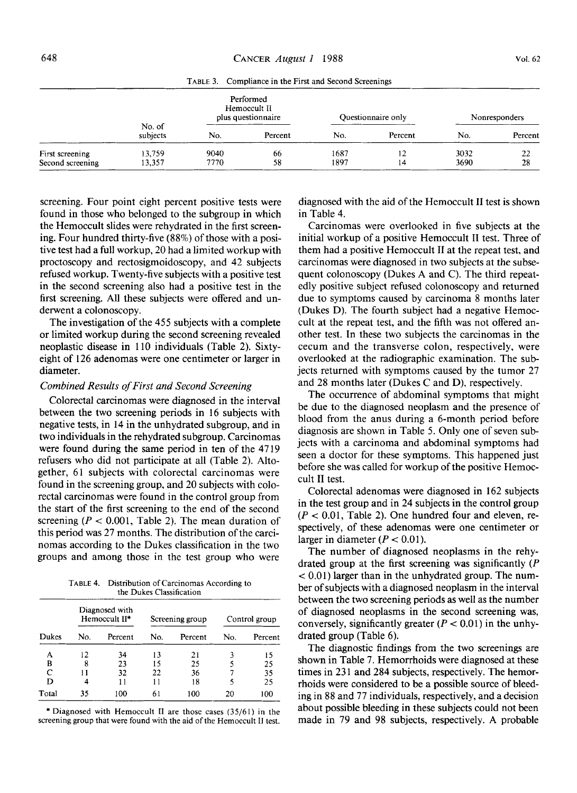TABLE 3. Compliance in the First and Second Screenings

|                  | No. of<br>subjects |      | Performed<br>Hemoccult II<br>plus questionnaire |      | Questionnaire only |      | <b>Nonresponders</b> |  |
|------------------|--------------------|------|-------------------------------------------------|------|--------------------|------|----------------------|--|
|                  |                    | No.  | Percent                                         | No.  | Percent            | No.  | Percent              |  |
| First screening  | 13.759             | 9040 | 66                                              | 1687 | 12                 | 3032 | 22                   |  |
| Second screening | 13,357             | 7770 | 58                                              | 1897 | 14                 | 3690 | 28                   |  |

screening. Four point eight percent positive tests were found in those who belonged to the subgroup in which the Hemoccult slides were rehydrated in the first screening. Four hundred thirty-five (88%) of those with a positive test had a full workup, 20 had a limited workup with proctoscopy and rectosigmoidoscopy, and 42 subjects refused workup. Twenty-five subjects with a positive test in the second screening also had a positive test in the first screening. All these subjects were offered and underwent a colonoscopy.

The investigation of the 455 subjects with a complete or limited workup during the second screening revealed neoplastic disease in 110 individuals (Table 2). Sixtyeight of 126 adenomas were one centimeter or larger in diameter.

## *Combined Results of First and Second Screening*

Colorectal carcinomas were diagnosed in the interval between the two screening periods in 16 subjects with negative tests, in 14 in the unhydrated subgroup, and in two individuals in the rehydrated subgroup. Carcinomas were found during the same period in ten of the 47 19 refusers who did not participate at all (Table 2). Altogether, 61 subjects with colorectal carcinomas were found in the screening group, and 20 subjects with colorectal carcinomas were found in the control group from the start of the first screening to the end of the second screening  $(P < 0.001$ , Table 2). The mean duration of this period was 27 months. The distribution of the carcinomas according to the Dukes classification in the two groups and among those in the test group who were

TABLE **4.** Distribution of Carcinomas According to the Dukes Classification

| Dukes | Diagnosed with<br>Hemoccult II* |         | Screening group |         | Control group |         |
|-------|---------------------------------|---------|-----------------|---------|---------------|---------|
|       | No.                             | Percent | No.             | Percent | No.           | Percent |
| A     | 12                              | 34      | 13              | 21      |               | 15      |
| в     | 8                               | 23      | 15              | 25      |               | 25      |
| C     | ו ו                             | 32      | 22              | 36      |               | 35      |
| D     | 4                               | 11      | 11              | 18      |               | 25      |
| Total | 35                              | 100     | 61              | 100     | 20            | 100     |

\* Diagnosed with Hemoccult **I1** are those cases (35/61) in the screening group that were found with the aid of the Hemoccult **I1** test. diagnosed with the aid of the Hemoccult **I1** test is shown in Table 4.

Carcinomas were overlooked in five subjects at the initial workup of a positive Hemoccult **I1** test. Three of them had a positive Hemoccult **I1** at the repeat test, and Carcinomas were diagnosed in two subjects at the subsequent colonoscopy (Dukes A and C). The third repeatedly positive subject refused colonoscopy and returned due to symptoms caused by carcinoma 8 months later (Dukes D). The fourth subject had a negative Hemoccult at the repeat test, and the fifth was not offered another test. In these two subjects the carcinomas in the cecum and the transverse colon, respectively, were overlooked at the radiographic examination. The subjects returned with symptoms caused by the tumor 27 and 28 months later (Dukes C and D), respectively.

The occurrence of abdominal symptoms that might be due to the diagnosed neoplasm and the presence of blood from the anus during a 6-month period before diagnosis are shown in Table 5. Only one of seven subjects with a carcinoma and abdominal symptoms had seen a doctor for these symptoms. This happened just before she was called for workup of the positive Hemoccult **I1** test.

Colorectal adenomas were diagnosed in **162** subjects in the test group and in **24** subjects in the control group  $(P < 0.01$ , Table 2). One hundred four and eleven, respectively, of these adenomas were one centimeter or larger in diameter  $(P < 0.01)$ .

The number of diagnosed neoplasms in the rehydrated group at the first screening was significantly (P  $< 0.01$ ) larger than in the unhydrated group. The number of subjects with a diagnosed neoplasm in the interval between the two screening periods as well as the number of diagnosed neoplasms in the second screening was, conversely, significantly greater  $(P < 0.01)$  in the unhydrated group (Table 6).

The diagnostic findings from the two screenings are shown in Table 7. Hemorrhoids were diagnosed at these times in 231 and 284 subjects, respectively. The hemorrhoids were considered to be a possible source of bleeding in 88 and 77 individuals, respectively, and a decision about possible bleeding in these subjects could not been made in 79 and 98 subjects, respectively. A probable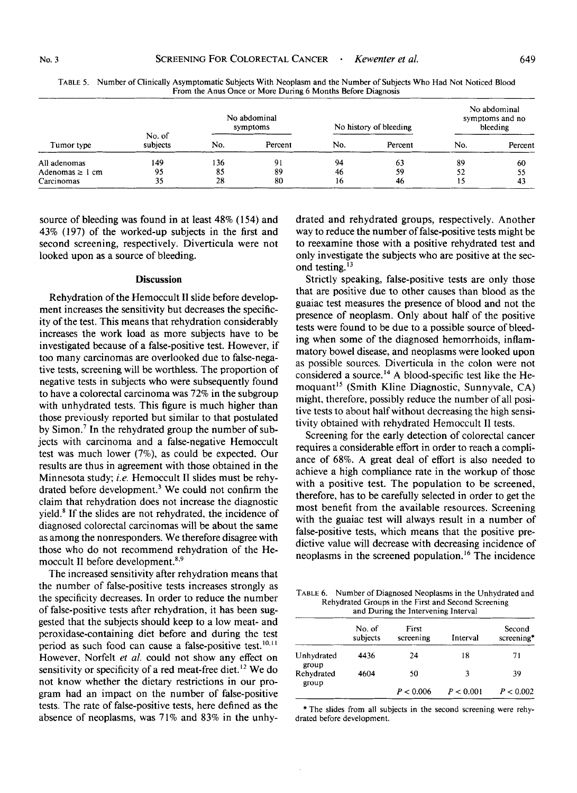| Tumor type           |                    | No abdominal<br>symptoms |         | No history of bleeding |         | No abdominal<br>symptoms and no<br>bleeding |         |
|----------------------|--------------------|--------------------------|---------|------------------------|---------|---------------------------------------------|---------|
|                      | No. of<br>subjects | No.                      | Percent | No.                    | Percent | No.                                         | Percent |
| All adenomas         | 149                | 136                      | 91      | 94                     | 63      | 89                                          | 60      |
| Adenomas $\geq 1$ cm | 95                 | 85                       | 89      | 46                     | 59      | 52                                          | 55      |
| Carcinomas           | 35                 | 28                       | 80      | 16                     | 46      | 15                                          | 43      |

**TABLE** 5. **Number** of **Clinically Asymptomatic Subjects With Neoplasm and the Number** of **Subjects Who Had Not Noticed Blood From the Anus Once** or **More During** 6 **Months Before Diagnosis** 

source of bleeding was found in at least **48%** (1 **54)** and **43% (197)** of the worked-up subjects in the first and second screening, respectively. Diverticula were not looked upon as a source of bleeding.

#### **Discussion**

Rehydration of the Hemoccult 11 slide before development increases the sensitivity but decreases the specificity of the test. This means that rehydration considerably increases the work load as more subjects have to be investigated because of a false-positive test. However, if too many carcinomas are overlooked due to false-negative tests, screening will be worthless. The proportion of negative tests in subjects who were subsequently found to have a colorectal carcinoma was **72%** in the subgroup with unhydrated tests. This figure is much higher than those previously reported but similar to that postulated by Simon.' In the rehydrated group the number of subjects with carcinoma and a false-negative Hemoccult test was much lower (7%), as could be expected. Our results are thus in agreement with those obtained in the Minnesota study; *i.e.* Hemoccult I1 slides must be rehydrated before development.<sup>3</sup> We could not confirm the claim that rehydration does not increase the diagnostic yield.<sup>8</sup> If the slides are not rehydrated, the incidence of diagnosed colorectal carcinomas will be about the same as among the nonresponders. We therefore disagree with those who do not recommend rehydration of the Hemoccult II before development.<sup>8,9</sup>

The increased sensitivity after rehydration means that the number of false-positive tests increases strongly as the specificity decreases. In order to reduce the number of false-positive tests after rehydration, it has been suggested that the subjects should keep to a low meat- and peroxidase-containing diet before and during the test period as such food can cause a false-positive test. $10,11$ However, Norfelt *et al.* could not show any effect on sensitivity or specificity of a red meat-free diet.<sup>12</sup> We do not know whether the dietary restrictions in our program had an impact on the number of false-positive tests. The rate of false-positive tests, here defined **as** the absence of neoplasms, was **71%** and **83%** in the unhydrated and rehydrated groups, respectively. Another way to reduce the number of false-positive tests might be to reexamine those with a positive rehydrated test and only investigate the subjects who are positive at the second testing.<sup>13</sup>

Strictly speaking, false-positive tests are only those that are positive due to other causes than blood as the guaiac test measures the presence of blood and not the presence of neoplasm. Only about half of the positive tests were found to be due to a possible source of bleeding when some of the diagnosed hemorrhoids, inflammatory bowel disease, and neoplasms were looked upon as possible sources. Diverticula in the colon were not considered a source.14 A blood-specific test like the He $m$ oquant<sup>15</sup> (Smith Kline Diagnostic, Sunnyvale, CA) might, therefore, possibly reduce the number of all positive tests to about half without decreasing the high sensitivity obtained with rehydrated Hemoccult I1 tests.

Screening for the early detection of colorectal cancer requires a considerable effort in order to reach a compliance of **68%.** A great deal of effort is also needed to achieve a high compliance rate in the workup of those with a positive test. The population to be screened, therefore, has to be carefully selected in order to get the most benefit from the available resources. Screening with the guaiac test will always result in a number of false-positive tests, which means that the positive predictive value will decrease with decreasing incidence of neoplasms in the screened population.<sup>16</sup> The incidence

**TABLE** 6. **Number** of **Diagnosed Neoplasms in the Unhydrated and Rehydrated Groups in the First and Second Screening and During the Intervening Interval** 

|                     | No. of<br>subjects | <b>First</b><br>screening | Interval  | Second<br>screening* |
|---------------------|--------------------|---------------------------|-----------|----------------------|
| Unhydrated<br>group | 4436               | 24                        | 18        | 71                   |
| Rehydrated<br>group | 4604               | 50                        |           | 39                   |
|                     |                    | P < 0.006                 | P < 0.001 | P < 0.002            |

\* **The slides** from **all subjects in the second screening were rehydrated before development.**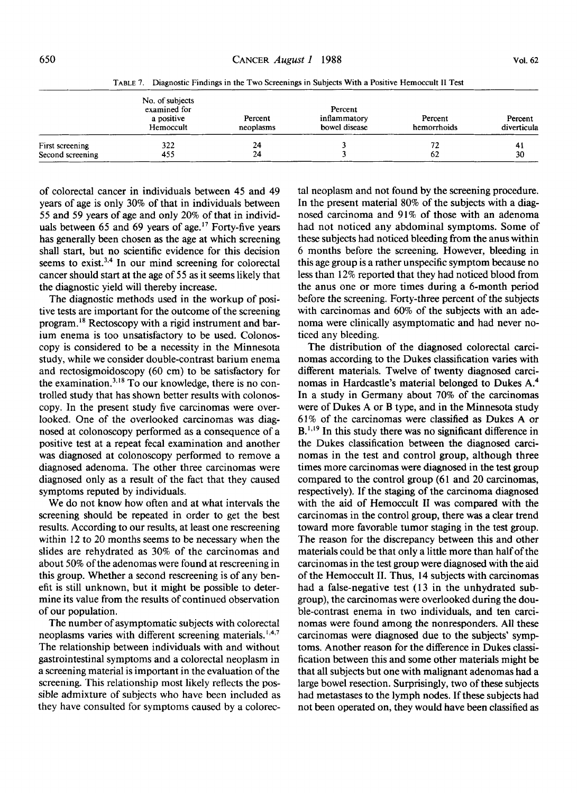|                  | No. of subjects<br>examined for<br>a positive<br>Hemoccult | Percent<br>neoplasms | Percent<br>inflammatory<br>bowel disease | Percent<br>hemorrhoids | Percent<br>diverticula |
|------------------|------------------------------------------------------------|----------------------|------------------------------------------|------------------------|------------------------|
| First screening  | 322                                                        | 24                   |                                          |                        | 41                     |
| Second screening | 455                                                        | 24                   |                                          | 62                     | 30                     |

**TABLE 7. Diagnostic Findings in the Two Screenings in Subjects With a Positive Hemoccult I1 Test** 

of colorectal cancer in individuals between **45** and **49**  years of age is only 30% of that in individuals between 55 and 59 years of age and only **20%** of that in individuals between 65 and 69 years of age.<sup>17</sup> Forty-five years has generally been chosen as the age at which screening shall start, but no scientific evidence for this decision seems to exist.<sup>3,4</sup> In our mind screening for colorectal cancer should start at the age of 55 as it seems likely that the diagnostic yield will thereby increase.

The diagnostic methods used in the workup of positive tests are important for the outcome of the screening program.I8 Rectoscopy with a rigid instrument and barium enema is too unsatisfactory to be used. Colonoscopy is considered to be a necessity in the Minnesota study, while we consider double-contrast barium enema and rectosigmoidoscopy (60 cm) to be satisfactory for the examination.<sup>3,18</sup> To our knowledge, there is no controlled study that has shown better results with colonoscopy. In the present study five carcinomas were overlooked. One of the overlooked carcinomas was diagnosed at colonoscopy performed as a consequence of a positive test at a repeat fecal examination and another was diagnosed at colonoscopy performed to remove a diagnosed adenoma. The other three carcinomas were diagnosed only as a result of the fact that they caused symptoms reputed by individuals.

We do not know how often and at what intervals the screening should be repeated in order to get the best results. According to our results, at least one rescreening within **12** to **20** months seems to be necessary when the slides are rehydrated as 30% of the carcinomas and about 50% of the adenomas were found at rescreening in this group. Whether a second rescreening is of any benefit is still unknown, but it might be possible to determine its value from the results of continued observation of our population.

The number of asymptomatic subjects with colorectal neoplasms varies with different screening materials.<sup>1,4,7</sup> The relationship between individuals with and without gastrointestinal symptoms and a colorectal neoplasm in a screening material is important in the evaluation of the screening. This relationship most likely reflects the possible admixture of subjects who have been included as they have consulted for symptoms caused by a colorectal neoplasm and not found by the screening procedure. In the present material **80%** of the subjects with a diagnosed carcinoma and 91% of those with an adenoma had not noticed any abdominal symptoms. Some of these subjects had noticed bleeding from the anus within 6 months before the screening. However, bleeding in this age group is a rather unspecific symptom because no less than **12%** reported that they had noticed blood from the anus one or more times during a 6-month period before the screening. Forty-three percent of the subjects with carcinomas and 60% of the subjects with an adenoma were clinically asymptomatic and had never noticed any bleeding.

The distribution of the diagnosed colorectal carcinomas according to the Dukes classification varies with different materials. Twelve of twenty diagnosed carcinomas in Hardcastle's material belonged to Dukes A.4 In a study in Germany about 70% of the carcinomas were of Dukes A or B type, and in the Minnesota study 61% of the carcinomas were classified as Dukes A or B.<sup>1,19</sup> In this study there was no significant difference in the Dukes classification between the diagnosed carcinomas in the test and control group, although three times more carcinomas were diagnosed in the test group compared to the control group (6 **1** and 20 carcinomas, respectively). If the staging of the carcinoma diagnosed with the aid of Hemoccult **I1** was compared with the carcinomas in the control group, there was a clear trend toward more favorable tumor staging in the test group. The reason for the discrepancy between this and other materials could be that only a little more than half of the carcinomas in the test group were diagnosed with the aid of the Hemoccult 11. Thus, **14** subjects with carcinomas had a false-negative test  $(13$  in the unhydrated subgroup), the carcinomas were overlooked during the double-contrast enema in two individuals, and ten carcinomas were found among the nonresponders. All these carcinomas were diagnosed due to the subjects' symptoms. Another reason for the difference in Dukes classification between this and some other materials might be that all subjects but one with malignant adenomas had a large bowel resection. Surprisingly, two of these subjects had metastases to the lymph nodes. If these subjects had not been operated on, they would have been classified as